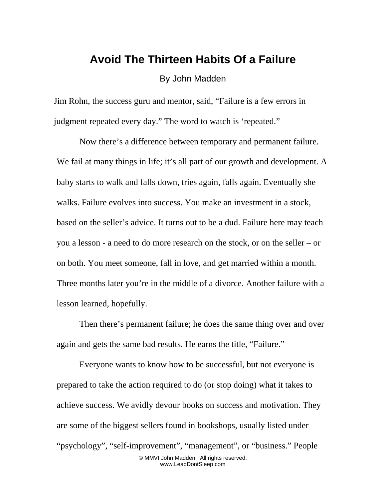## **Avoid The Thirteen Habits Of a Failure**

By John Madden

Jim Rohn, the success guru and mentor, said, "Failure is a few errors in judgment repeated every day." The word to watch is 'repeated."

Now there's a difference between temporary and permanent failure. We fail at many things in life; it's all part of our growth and development. A baby starts to walk and falls down, tries again, falls again. Eventually she walks. Failure evolves into success. You make an investment in a stock, based on the seller's advice. It turns out to be a dud. Failure here may teach you a lesson - a need to do more research on the stock, or on the seller – or on both. You meet someone, fall in love, and get married within a month. Three months later you're in the middle of a divorce. Another failure with a lesson learned, hopefully.

Then there's permanent failure; he does the same thing over and over again and gets the same bad results. He earns the title, "Failure."

Everyone wants to know how to be successful, but not everyone is prepared to take the action required to do (or stop doing) what it takes to achieve success. We avidly devour books on success and motivation. They are some of the biggest sellers found in bookshops, usually listed under "psychology", "self-improvement", "management", or "business." People © MMVI John Madden. All rights reserved. www.LeapDontSleep.com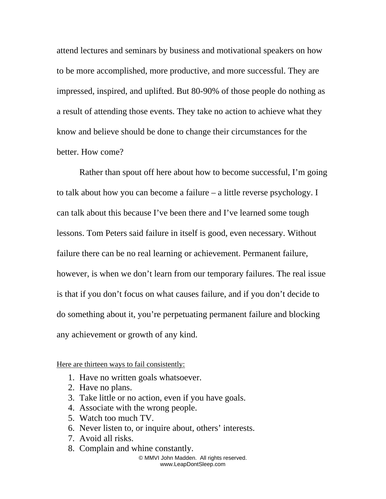attend lectures and seminars by business and motivational speakers on how to be more accomplished, more productive, and more successful. They are impressed, inspired, and uplifted. But 80-90% of those people do nothing as a result of attending those events. They take no action to achieve what they know and believe should be done to change their circumstances for the better. How come?

Rather than spout off here about how to become successful, I'm going to talk about how you can become a failure – a little reverse psychology. I can talk about this because I've been there and I've learned some tough lessons. Tom Peters said failure in itself is good, even necessary. Without failure there can be no real learning or achievement. Permanent failure, however, is when we don't learn from our temporary failures. The real issue is that if you don't focus on what causes failure, and if you don't decide to do something about it, you're perpetuating permanent failure and blocking any achievement or growth of any kind.

Here are thirteen ways to fail consistently:

- 1. Have no written goals whatsoever.
- 2. Have no plans.
- 3. Take little or no action, even if you have goals.
- 4. Associate with the wrong people.
- 5. Watch too much TV.
- 6. Never listen to, or inquire about, others' interests.
- 7. Avoid all risks.
- 8. Complain and whine constantly.

© MMVI John Madden. All rights reserved. www.LeapDontSleep.com